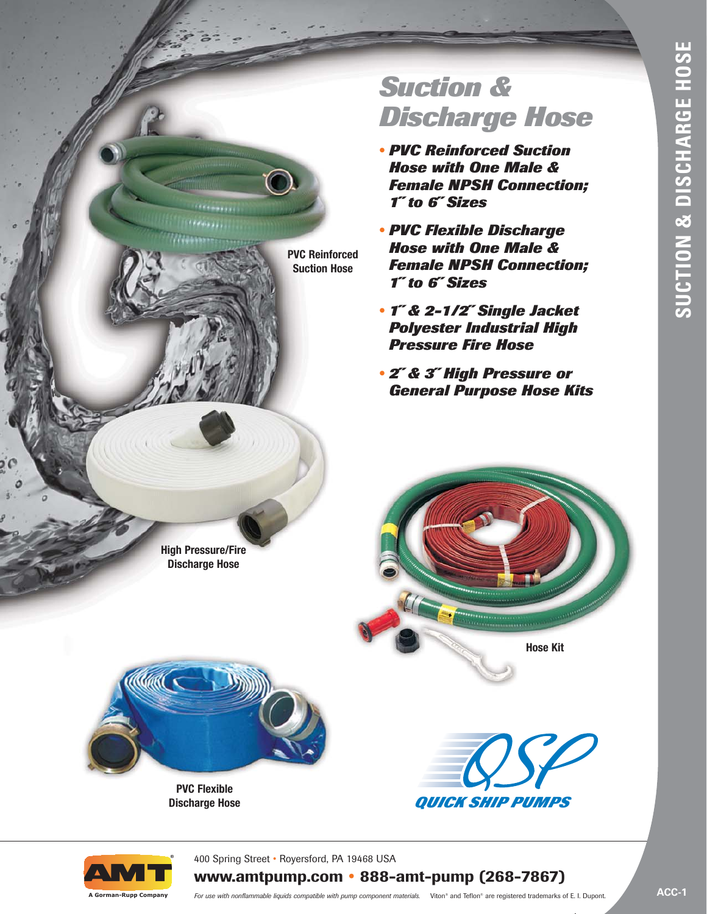# *Suction & Discharge Hose*

- *• PVC Reinforced Suction Hose with One Male & Female NPSH Connection; 1˝ to 6˝ Sizes*
- *• PVC Flexible Discharge Hose with One Male & Female NPSH Connection; 1˝ to 6˝ Sizes*
- *• 1˝ & 2-1/2˝ Single Jacket Polyester Industrial High Pressure Fire Hose*
- *• 2˝ & 3˝ High Pressure or General Purpose Hose Kits*

**High Pressure/Fire Discharge Hose**



**PVC Flexible Discharge Hose**  **Hose Kit**





**A Gorman-Rupp Company**

400 Spring Street • Royersford, PA 19468 USA

**PVC Reinforced Suction Hose** 

# **www.amtpump.com • 888-amt-pump (268-7867)**

*For use with nonflammable liquids compatible with pump component materials.* Viton® and Teflon® are registered trademarks of E. I. Dupont.